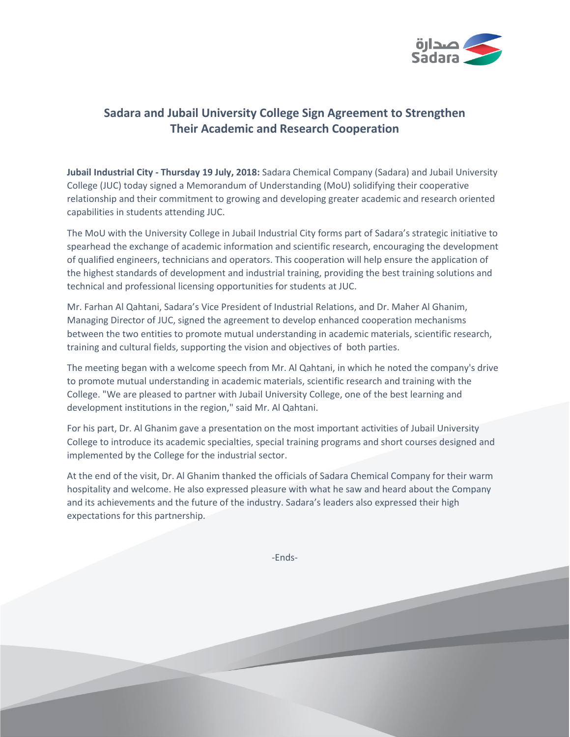

## **Sadara and Jubail University College Sign Agreement to Strengthen Their Academic and Research Cooperation**

**Jubail Industrial City - Thursday 19 July, 2018:** Sadara Chemical Company (Sadara) and Jubail University College (JUC) today signed a Memorandum of Understanding (MoU) solidifying their cooperative relationship and their commitment to growing and developing greater academic and research oriented capabilities in students attending JUC.

The MoU with the University College in Jubail Industrial City forms part of Sadara's strategic initiative to spearhead the exchange of academic information and scientific research, encouraging the development of qualified engineers, technicians and operators. This cooperation will help ensure the application of the highest standards of development and industrial training, providing the best training solutions and technical and professional licensing opportunities for students at JUC.

Mr. Farhan Al Qahtani, Sadara's Vice President of Industrial Relations, and Dr. Maher Al Ghanim, Managing Director of JUC, signed the agreement to develop enhanced cooperation mechanisms between the two entities to promote mutual understanding in academic materials, scientific research, training and cultural fields, supporting the vision and objectives of both parties.

The meeting began with a welcome speech from Mr. Al Qahtani, in which he noted the company's drive to promote mutual understanding in academic materials, scientific research and training with the College. "We are pleased to partner with Jubail University College, one of the best learning and development institutions in the region," said Mr. Al Qahtani.

For his part, Dr. Al Ghanim gave a presentation on the most important activities of Jubail University College to introduce its academic specialties, special training programs and short courses designed and implemented by the College for the industrial sector.

At the end of the visit, Dr. Al Ghanim thanked the officials of Sadara Chemical Company for their warm hospitality and welcome. He also expressed pleasure with what he saw and heard about the Company and its achievements and the future of the industry. Sadara's leaders also expressed their high expectations for this partnership.

-Ends-